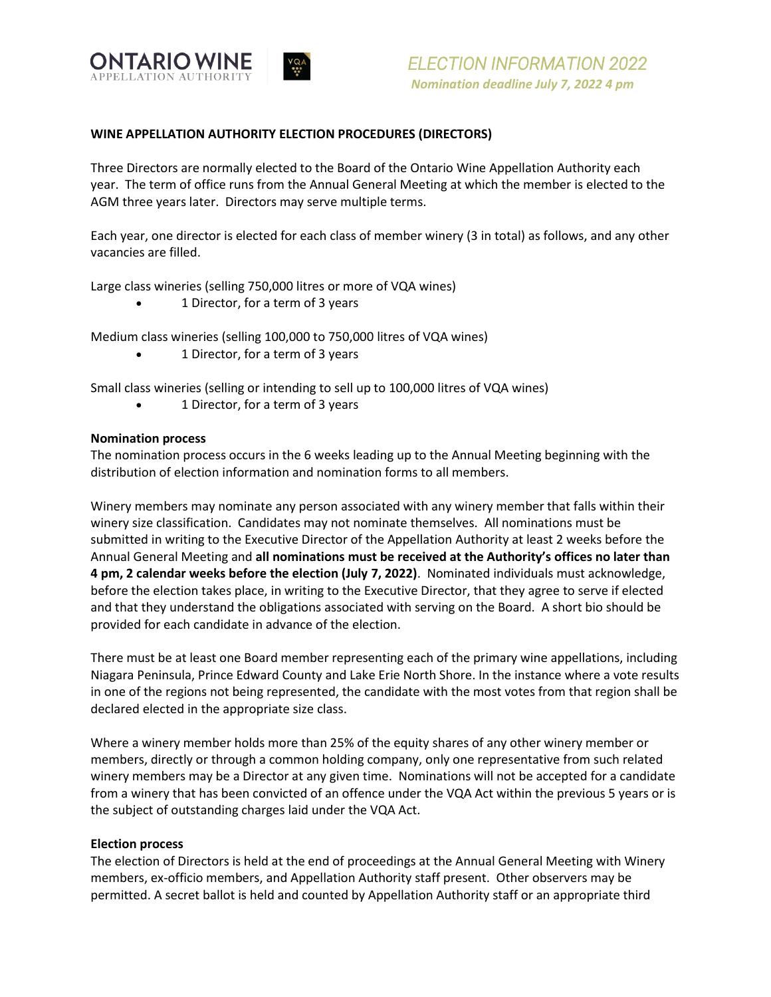

# **WINE APPELLATION AUTHORITY ELECTION PROCEDURES (DIRECTORS)**

Three Directors are normally elected to the Board of the Ontario Wine Appellation Authority each year. The term of office runs from the Annual General Meeting at which the member is elected to the AGM three years later. Directors may serve multiple terms.

Each year, one director is elected for each class of member winery (3 in total) as follows, and any other vacancies are filled.

Large class wineries (selling 750,000 litres or more of VQA wines)

• 1 Director, for a term of 3 years

Medium class wineries (selling 100,000 to 750,000 litres of VQA wines)

• 1 Director, for a term of 3 years

Small class wineries (selling or intending to sell up to 100,000 litres of VQA wines)

• 1 Director, for a term of 3 years

### **Nomination process**

The nomination process occurs in the 6 weeks leading up to the Annual Meeting beginning with the distribution of election information and nomination forms to all members.

Winery members may nominate any person associated with any winery member that falls within their winery size classification. Candidates may not nominate themselves. All nominations must be submitted in writing to the Executive Director of the Appellation Authority at least 2 weeks before the Annual General Meeting and **all nominations must be received at the Authority's offices no later than 4 pm, 2 calendar weeks before the election (July 7, 2022)**. Nominated individuals must acknowledge, before the election takes place, in writing to the Executive Director, that they agree to serve if elected and that they understand the obligations associated with serving on the Board. A short bio should be provided for each candidate in advance of the election.

There must be at least one Board member representing each of the primary wine appellations, including Niagara Peninsula, Prince Edward County and Lake Erie North Shore. In the instance where a vote results in one of the regions not being represented, the candidate with the most votes from that region shall be declared elected in the appropriate size class.

Where a winery member holds more than 25% of the equity shares of any other winery member or members, directly or through a common holding company, only one representative from such related winery members may be a Director at any given time. Nominations will not be accepted for a candidate from a winery that has been convicted of an offence under the VQA Act within the previous 5 years or is the subject of outstanding charges laid under the VQA Act.

### **Election process**

The election of Directors is held at the end of proceedings at the Annual General Meeting with Winery members, ex-officio members, and Appellation Authority staff present. Other observers may be permitted. A secret ballot is held and counted by Appellation Authority staff or an appropriate third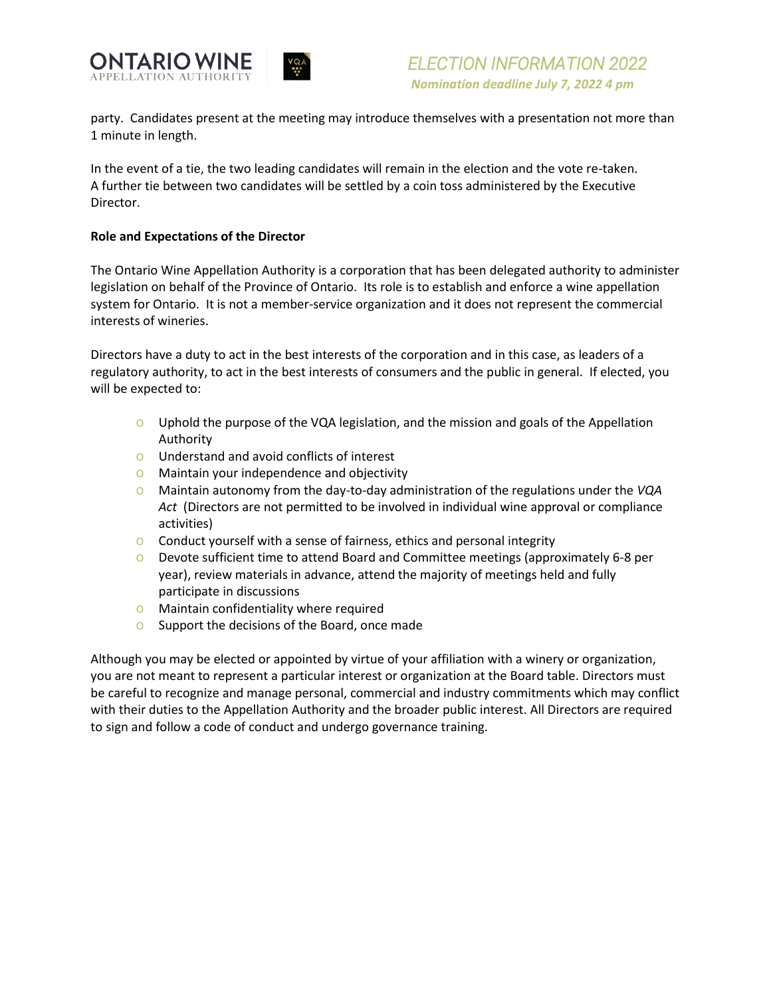

 *ELECTION INFORMATION 2022 Nomination deadline July 7, 2022 4 pm*

party. Candidates present at the meeting may introduce themselves with a presentation not more than 1 minute in length.

In the event of a tie, the two leading candidates will remain in the election and the vote re-taken. A further tie between two candidates will be settled by a coin toss administered by the Executive Director.

### **Role and Expectations of the Director**

The Ontario Wine Appellation Authority is a corporation that has been delegated authority to administer legislation on behalf of the Province of Ontario. Its role is to establish and enforce a wine appellation system for Ontario. It is not a member-service organization and it does not represent the commercial interests of wineries.

Directors have a duty to act in the best interests of the corporation and in this case, as leaders of a regulatory authority, to act in the best interests of consumers and the public in general. If elected, you will be expected to:

- o Uphold the purpose of the VQA legislation, and the mission and goals of the Appellation Authority
- o Understand and avoid conflicts of interest
- o Maintain your independence and objectivity
- o Maintain autonomy from the day-to-day administration of the regulations under the *VQA Act* (Directors are not permitted to be involved in individual wine approval or compliance activities)
- o Conduct yourself with a sense of fairness, ethics and personal integrity
- o Devote sufficient time to attend Board and Committee meetings (approximately 6-8 per year), review materials in advance, attend the majority of meetings held and fully participate in discussions
- o Maintain confidentiality where required
- o Support the decisions of the Board, once made

Although you may be elected or appointed by virtue of your affiliation with a winery or organization, you are not meant to represent a particular interest or organization at the Board table. Directors must be careful to recognize and manage personal, commercial and industry commitments which may conflict with their duties to the Appellation Authority and the broader public interest. All Directors are required to sign and follow a code of conduct and undergo governance training.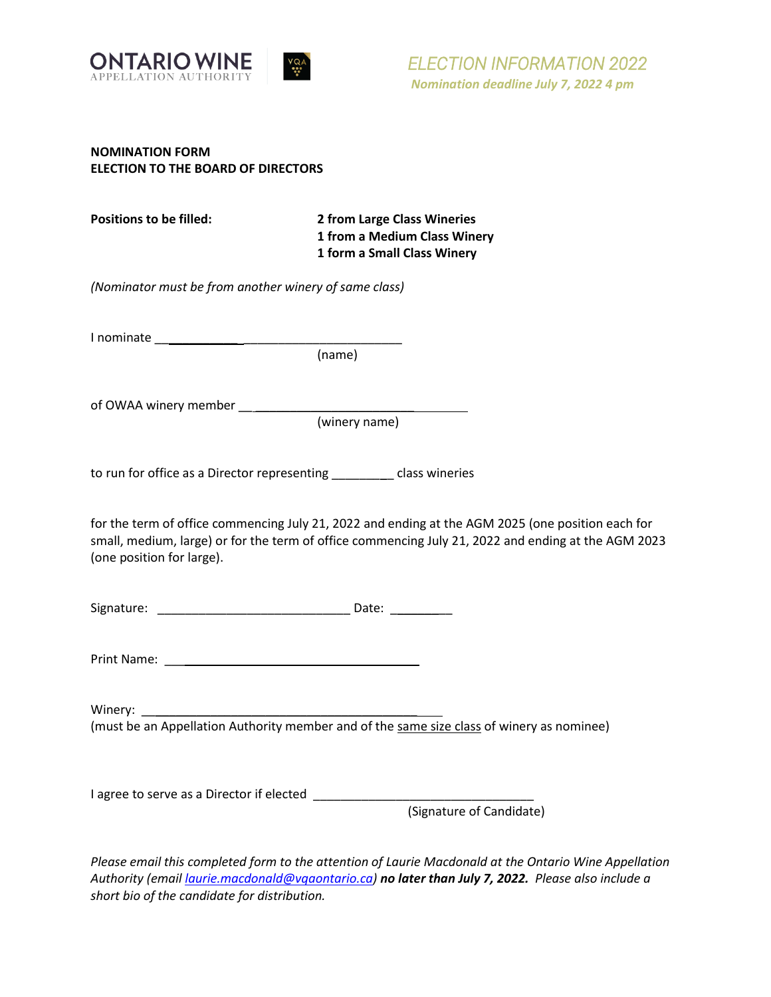

# **NOMINATION FORM ELECTION TO THE BOARD OF DIRECTORS**

| Positions to be filled: | 2 from Large Class Wineries  |
|-------------------------|------------------------------|
|                         | 1 from a Medium Class Winery |
|                         | 1 form a Small Class Winery  |

*(Nominator must be from another winery of same class)*

I nominate \_\_\_\_\_\_\_\_\_\_\_\_ \_\_\_\_\_\_\_\_\_\_\_\_\_\_\_\_\_\_\_\_\_\_\_

(name)

of OWAA winery member \_\_ \_\_\_\_\_\_\_\_\_\_\_\_\_\_\_\_\_\_\_\_\_\_\_

(winery name)

to run for office as a Director representing \_\_\_\_\_\_\_\_\_ class wineries

for the term of office commencing July 21, 2022 and ending at the AGM 2025 (one position each for small, medium, large) or for the term of office commencing July 21, 2022 and ending at the AGM 2023 (one position for large).

Signature: \_\_\_\_\_\_\_\_\_\_\_\_\_\_\_\_\_\_\_\_\_\_\_\_\_\_\_\_ Date: \_\_\_\_\_\_\_\_\_

Print Name: \_\_\_\_\_\_\_\_\_\_\_\_\_\_\_\_\_\_\_\_\_\_\_\_\_\_\_\_\_\_\_\_\_\_\_\_\_

Winery:  $\_\_$ (must be an Appellation Authority member and of the same size class of winery as nominee)

I agree to serve as a Director if elected \_\_\_\_\_\_\_\_\_\_\_\_\_\_\_\_\_\_\_\_\_\_\_\_\_\_\_\_\_\_\_\_

(Signature of Candidate)

*Please email this completed form to the attention of Laurie Macdonald at the Ontario Wine Appellation Authority (email [laurie.macdonald@vqaontario.ca\)](mailto:laurie.macdonald@vqaontario.ca) no later than July 7, 2022. Please also include a short bio of the candidate for distribution.*